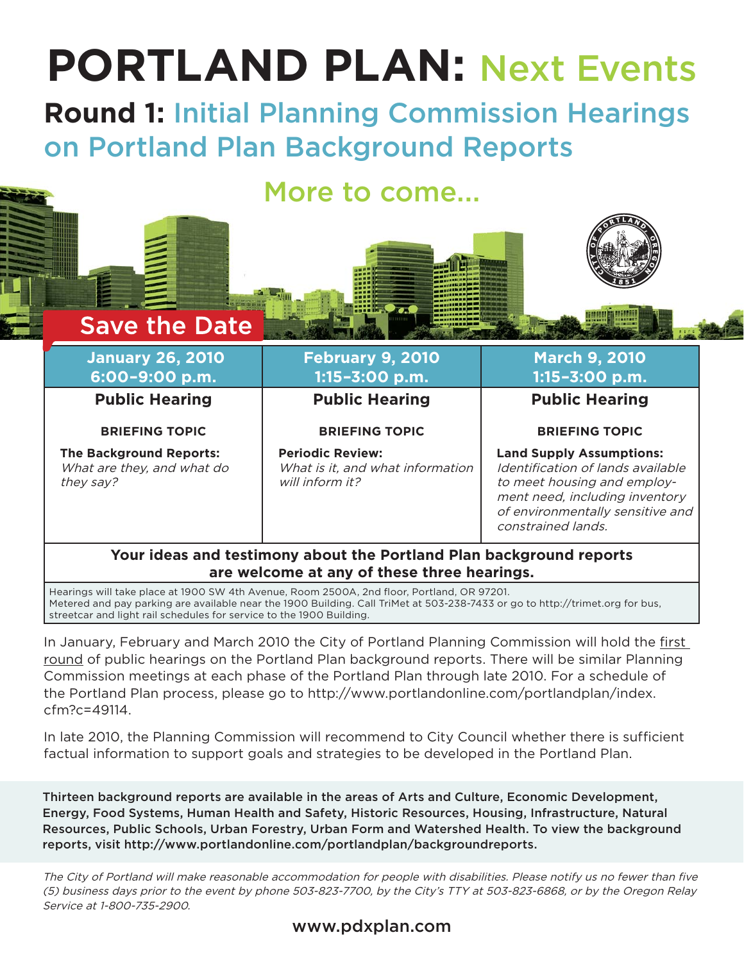# **PORTLAND PLAN:** Next Events

**Round 1:** Initial Planning Commission Hearings on Portland Plan Background Reports

# More to come...

# **January 26, 2010 6:00–9:00 p.m.**

**Save the Date** 

**Public Hearing**

#### **BRIEFING TOPIC**

**The Background Reports:** What are they, and what do they say?

### **February 9, 2010 1:15–3:00 p.m.**

**Public Hearing BRIEFING TOPIC**

**Periodic Review:** What is it, and what information will inform it?

### **March 9, 2010 1:15–3:00 p.m.**

**Public Hearing**

**BRIEFING TOPIC**

# **Land Supply Assumptions:**

Identification of lands available to meet housing and employment need, including inventory of environmentally sensitive and constrained lands.

#### **Your ideas and testimony about the Portland Plan background reports are welcome at any of these three hearings.**

Hearings will take place at 1900 SW 4th Avenue, Room 2500A, 2nd floor, Portland, OR 97201. Metered and pay parking are available near the 1900 Building. Call TriMet at 503-238-7433 or go to http://trimet.org for bus, streetcar and light rail schedules for service to the 1900 Building.

In January, February and March 2010 the City of Portland Planning Commission will hold the first round of public hearings on the Portland Plan background reports. There will be similar Planning Commission meetings at each phase of the Portland Plan through late 2010. For a schedule of the Portland Plan process, please go to http://www.portlandonline.com/portlandplan/index. cfm?c=49114.

In late 2010, the Planning Commission will recommend to City Council whether there is sufficient factual information to support goals and strategies to be developed in the Portland Plan.

Thirteen background reports are available in the areas of Arts and Culture, Economic Development, Energy, Food Systems, Human Health and Safety, Historic Resources, Housing, Infrastructure, Natural Resources, Public Schools, Urban Forestry, Urban Form and Watershed Health. To view the background reports, visit http://www.portlandonline.com/portlandplan/backgroundreports.

The City of Portland will make reasonable accommodation for people with disabilities. Please notify us no fewer than five (5) business days prior to the event by phone 503-823-7700, by the City's TTY at 503-823-6868, or by the Oregon Relay Service at 1-800-735-2900.

www.pdxplan.com